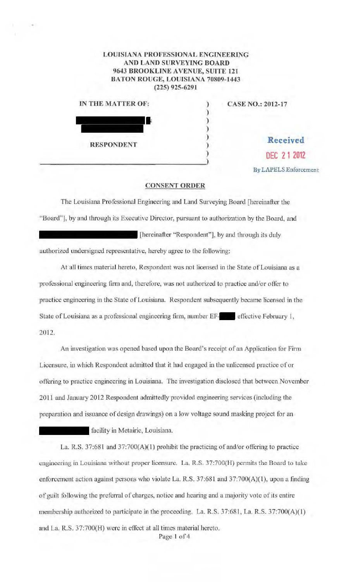## LOUISIANA PROFESSIONAL ENGINEERING AND LAND SURVEYING BOARD 9643 BROOKLINE AVENUE, SUITE 121 BATON ROUGE, LOUISIANA 70809-1443 (225) 925-6291

| IN THE MATTER OF: | <b>CASE NO.: 2012-17</b> |
|-------------------|--------------------------|
|                   |                          |
|                   |                          |
|                   |                          |
| <b>RESPONDENT</b> | Received                 |
|                   | DEC 21 2012              |

By LAPELS Enforcemen t

## CONSENT ORDER

The Louisiana Professional Engineering and Land Surveying Board [hereinafter the "Board"], by and through its Executive Director, pursuant to authorization by the Board, and [hereinafter "Respondent"], by and through its duly

authorized undersigned representative, hereby agree to the following:

At all times material hereto, Respondent was not licensed in the State of Louisiana as a professional engineering firm and, therefore, was not authorized to practice and/or offer to practice engineering in the State of Louisiana. Respondent subsequently became licensed in the State of Louisiana as a professional engineering firm, number EF-**... effective February 1**, 2012.

An investigation was opened based upon the Board's receipt of an Application for Firm Licensure, iu which Respondent admitted that it had engaged in the milicensed practice of or offering to practice engineering in Louisiana. The investigation disclosed that between November 2011 and January 2012 Respondent admittedly provided engineering services (including the preparation and issuance of design drawings) on a low voltage sound masking project for an

facility in Metairie, Louisiana.

La. R.S. 37:681 and 37:700(A)(l) prohibit the practicing of and/or offering to practice engineering in Louisiana without proper licensure. La. R.S. 37:700(H) permits the Board to take enforcement action against persons who violate La. R.S.  $37:681$  and  $37:700(A)(1)$ , upon a finding of guilt following the preferral of charges, notice and hearing and a majority vote of its entire membership authorized to participate in the proceeding. La. R.S. 37:681, La. R.S. 37:700(A)(1) and La. R.S. 37:700(H) were in effect at all times material hereto.

Page 1 of 4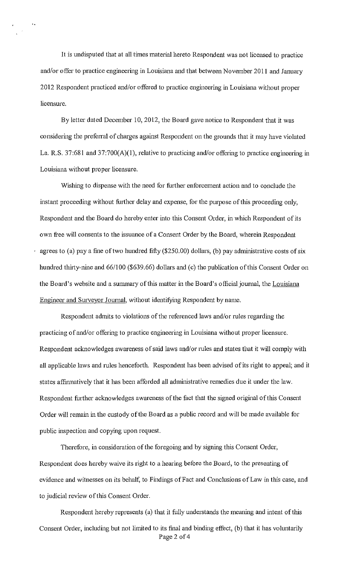It is undisputed that at all times material hereto Respondent was not licensed to practice and/or offer to practice engineering in Louisiana and that between November 2011 and January 2012 Respondent practiced and/or offered to practice engineering in Louisiana without proper licensure.

By letter dated December 10, 2012, the Board gave notice to Respondent that it was considering the preferral of charges against Respondent on the grounds that it may have violated La. R.S. 37:681 and 37:700(A)(l), relative to practicing and/or offering to practice engineering in Louisiana without proper licensure.

Wishing to dispense with the need for further enforcement action and to conclude the instant proceeding without further delay and expense, for the purpose of this proceeding only, Respondent and the Board do hereby enter into this Consent Order, in which Respondent of its own free will consents to the issuance of a Consent Order by the Board, wherein Respondent agrees to (a) pay a fine of two hundred fifty (\$250.00) dollars, (b) pay administrative costs of six hundred thirty-nine and 66/100 (\$639.66) dollars and (c) the publication of this Consent Order on the Board's website and a summary of this matter in the Board's official joumal, the Louisiana Engineer and Surveyor Journal, without identifying Respondent by name.

Respondent admits to violations of the referenced laws and/or rules regarding the practicing of and/or offering to practice engineering in Louisiana without proper licensure. Respondent acknowledges awareness of said laws and/or rules and states that it will comply with all applicable laws and rules henceforth. Respondent has been advised of its right to appeal; and it states affinnatively that it has been afforded all administrative remedies due it under the law. Respondent further acknowledges awareness of the fact that the signed original of this Consent Order will remain in the custody of the Board as a public record and will be made available for public inspection and copying upon request.

Therefore, in consideration of the foregoing and by signing this Consent Order, Respondent does hereby waive its right to a hearing before the Board, to the presenting of evidence and witnesses on its behalf, to Findings of Fact and Conclusions of Law in this case, and to judicial review of this Consent Order.

Respondent hereby represents (a) that it fully understands the meaning and intent of this Consent Order, including but not limited to its final and binding effect, (b) that it has voluntarily Page 2 of 4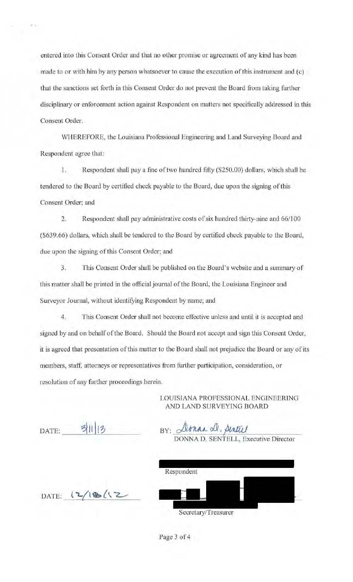entered into this Consent Order and that no other promise or agreement of any kind has been made to or with him by any person whatsoever to cause the execution of this instrument and (c) that the sanctions set forth in this Consent Order do not prevent the Board from taking further disciplinary or enforcement action against Respondent on matters not specifically addressed in this Consent Order.

WHEREFORE, the Louisiana Professional Engineering and Land Surveying Board and Respondent agree that:

 $1.$ Respondent shall pay a fine of two hundred fifty (\$250.00) dollars, which shall be tendered to the Board by certified check payable to the Board, due upon the signing of this Consent Order; and

 $2.$ Respondent shall pay administrative costs of six hundred thirty-nine and 66/100 (\$639.66) dollars, which shall be tendered to the Board by certified check payable to the Board, due upon the signing of this Consent Order; and

3. This Consent Order shall be published on the Board's website and a summary of this matter shall be printed in the official journal of the Board, the Louisiana Engineer and Surveyor Journal, without identifying Respondent by name; and

 $4.$ This Consent Order shall not become effective unless and until it is accepted and signed by and on behalf of the Board. Should the Board not accept and sign this Consent Order, it is agreed that presentation of this matter to the Board shall not prejudice the Board or any of its members, staff, attorneys or representatives from further participation, consideration, or resolution of any further proceedings herein.

> LOUISIANA PROFESSIONAL ENGINEERING AND LAND SURVEYING BOARD

DATE:

BY: *Atman A, Antul*<br>DONNA D. SENTELL, Executive Director

| Respondent |  |  |
|------------|--|--|
|            |  |  |
|            |  |  |
|            |  |  |

DATE:  $2/18/12$ 

Page 3 of 4